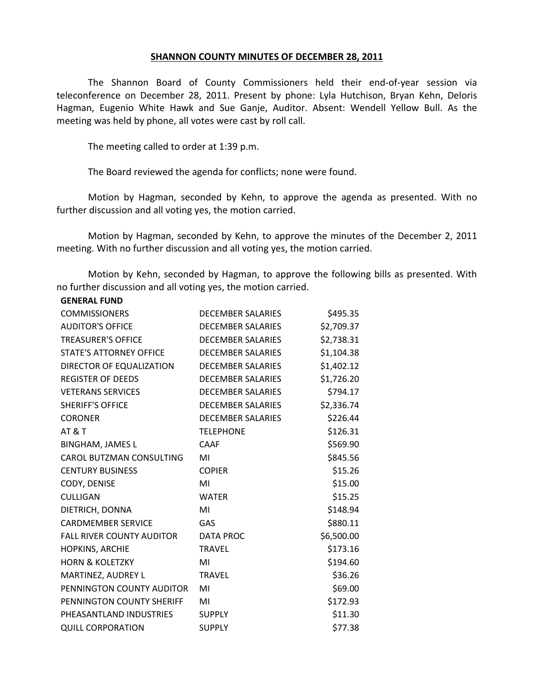## **SHANNON COUNTY MINUTES OF DECEMBER 28, 2011**

The Shannon Board of County Commissioners held their end-of-year session via teleconference on December 28, 2011. Present by phone: Lyla Hutchison, Bryan Kehn, Deloris Hagman, Eugenio White Hawk and Sue Ganje, Auditor. Absent: Wendell Yellow Bull. As the meeting was held by phone, all votes were cast by roll call.

The meeting called to order at 1:39 p.m.

**GENERAL FUND**

The Board reviewed the agenda for conflicts; none were found.

Motion by Hagman, seconded by Kehn, to approve the agenda as presented. With no further discussion and all voting yes, the motion carried.

Motion by Hagman, seconded by Kehn, to approve the minutes of the December 2, 2011 meeting. With no further discussion and all voting yes, the motion carried.

Motion by Kehn, seconded by Hagman, to approve the following bills as presented. With no further discussion and all voting yes, the motion carried.

| <b>COMMISSIONERS</b>             | <b>DECEMBER SALARIES</b> | \$495.35   |
|----------------------------------|--------------------------|------------|
| <b>AUDITOR'S OFFICE</b>          | <b>DECEMBER SALARIES</b> | \$2,709.37 |
| <b>TREASURER'S OFFICE</b>        | <b>DECEMBER SALARIES</b> | \$2,738.31 |
| <b>STATE'S ATTORNEY OFFICE</b>   | <b>DECEMBER SALARIES</b> | \$1,104.38 |
| DIRECTOR OF EQUALIZATION         | <b>DECEMBER SALARIES</b> | \$1,402.12 |
| <b>REGISTER OF DEEDS</b>         | <b>DECEMBER SALARIES</b> | \$1,726.20 |
| <b>VETERANS SERVICES</b>         | <b>DECEMBER SALARIES</b> | \$794.17   |
| <b>SHERIFF'S OFFICE</b>          | <b>DECEMBER SALARIES</b> | \$2,336.74 |
| <b>CORONER</b>                   | <b>DECEMBER SALARIES</b> | \$226.44   |
| <b>AT &amp; T</b>                | <b>TELEPHONE</b>         | \$126.31   |
| <b>BINGHAM, JAMES L</b>          | <b>CAAF</b>              | \$569.90   |
| CAROL BUTZMAN CONSULTING         | MI                       | \$845.56   |
| <b>CENTURY BUSINESS</b>          | <b>COPIER</b>            | \$15.26    |
| CODY, DENISE                     | MI                       | \$15.00    |
| <b>CULLIGAN</b>                  | <b>WATER</b>             | \$15.25    |
| DIETRICH, DONNA                  | MI                       | \$148.94   |
| <b>CARDMEMBER SERVICE</b>        | GAS                      | \$880.11   |
| <b>FALL RIVER COUNTY AUDITOR</b> | <b>DATA PROC</b>         | \$6,500.00 |
| HOPKINS, ARCHIE                  | <b>TRAVEL</b>            | \$173.16   |
| <b>HORN &amp; KOLETZKY</b>       | MI                       | \$194.60   |
| MARTINEZ, AUDREY L               | <b>TRAVEL</b>            | \$36.26    |
| PENNINGTON COUNTY AUDITOR        | MI                       | \$69.00    |
| PENNINGTON COUNTY SHERIFF        | MI                       | \$172.93   |
| PHEASANTLAND INDUSTRIES          | <b>SUPPLY</b>            | \$11.30    |
| <b>QUILL CORPORATION</b>         | <b>SUPPLY</b>            | \$77.38    |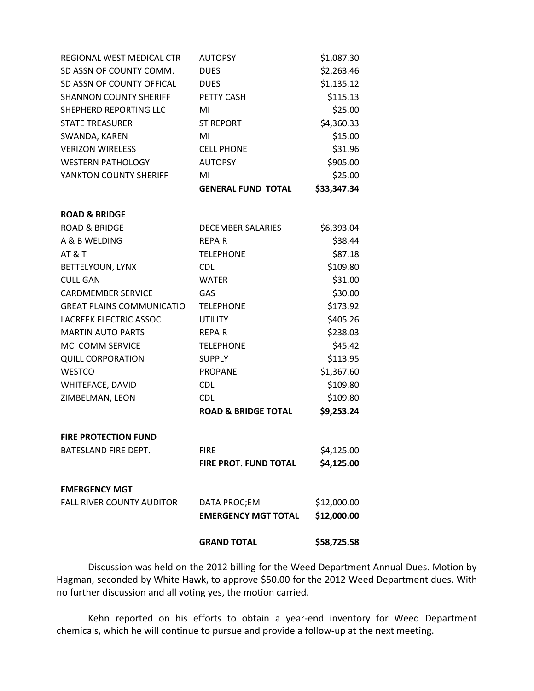| REGIONAL WEST MEDICAL CTR        | <b>AUTOPSY</b>                 | \$1,087.30  |
|----------------------------------|--------------------------------|-------------|
| SD ASSN OF COUNTY COMM.          | <b>DUES</b>                    | \$2,263.46  |
| SD ASSN OF COUNTY OFFICAL        | <b>DUES</b>                    | \$1,135.12  |
| <b>SHANNON COUNTY SHERIFF</b>    | PETTY CASH                     | \$115.13    |
| SHEPHERD REPORTING LLC           | MI                             | \$25.00     |
| <b>STATE TREASURER</b>           | <b>ST REPORT</b>               | \$4,360.33  |
| SWANDA, KAREN                    | MI                             | \$15.00     |
| <b>VERIZON WIRELESS</b>          | <b>CELL PHONE</b>              | \$31.96     |
| <b>WESTERN PATHOLOGY</b>         | <b>AUTOPSY</b>                 | \$905.00    |
| YANKTON COUNTY SHERIFF           | MI                             | \$25.00     |
|                                  | <b>GENERAL FUND TOTAL</b>      | \$33,347.34 |
| <b>ROAD &amp; BRIDGE</b>         |                                |             |
| <b>ROAD &amp; BRIDGE</b>         | <b>DECEMBER SALARIES</b>       | \$6,393.04  |
| A & B WELDING                    | <b>REPAIR</b>                  | \$38.44     |
| <b>AT &amp; T</b>                | <b>TELEPHONE</b>               | \$87.18     |
| BETTELYOUN, LYNX                 | CDL                            | \$109.80    |
| <b>CULLIGAN</b>                  | <b>WATER</b>                   | \$31.00     |
| <b>CARDMEMBER SERVICE</b>        | GAS                            | \$30.00     |
| <b>GREAT PLAINS COMMUNICATIO</b> | <b>TELEPHONE</b>               | \$173.92    |
| LACREEK ELECTRIC ASSOC           | <b>UTILITY</b>                 | \$405.26    |
| <b>MARTIN AUTO PARTS</b>         | <b>REPAIR</b>                  | \$238.03    |
| MCI COMM SERVICE                 | <b>TELEPHONE</b>               | \$45.42     |
| <b>QUILL CORPORATION</b>         | <b>SUPPLY</b>                  | \$113.95    |
| <b>WESTCO</b>                    | <b>PROPANE</b>                 | \$1,367.60  |
| WHITEFACE, DAVID                 | <b>CDL</b>                     | \$109.80    |
| ZIMBELMAN, LEON                  | <b>CDL</b>                     | \$109.80    |
|                                  | <b>ROAD &amp; BRIDGE TOTAL</b> | \$9,253.24  |
| <b>FIRE PROTECTION FUND</b>      |                                |             |
| BATESLAND FIRE DEPT.             | <b>FIRE</b>                    | \$4,125.00  |
|                                  | FIRE PROT. FUND TOTAL          | \$4,125.00  |
| <b>EMERGENCY MGT</b>             |                                |             |
| <b>FALL RIVER COUNTY AUDITOR</b> | DATA PROC;EM                   | \$12,000.00 |
|                                  | <b>EMERGENCY MGT TOTAL</b>     | \$12,000.00 |
|                                  | <b>GRAND TOTAL</b>             | \$58,725.58 |

Discussion was held on the 2012 billing for the Weed Department Annual Dues. Motion by Hagman, seconded by White Hawk, to approve \$50.00 for the 2012 Weed Department dues. With no further discussion and all voting yes, the motion carried.

Kehn reported on his efforts to obtain a year-end inventory for Weed Department chemicals, which he will continue to pursue and provide a follow-up at the next meeting.